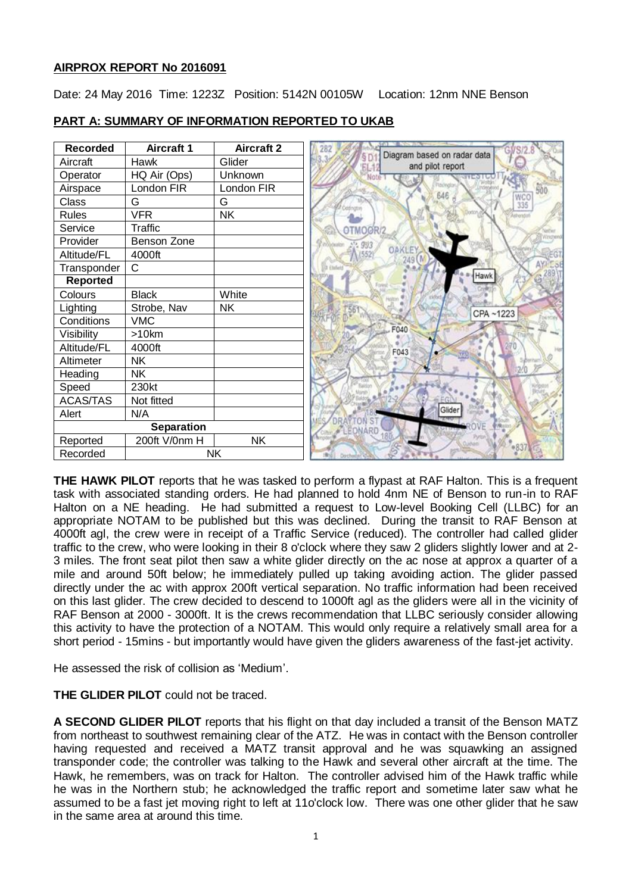## **AIRPROX REPORT No 2016091**

Date: 24 May 2016 Time: 1223Z Position: 5142N 00105W Location: 12nm NNE Benson

| <b>Recorded</b>   | <b>Aircraft 1</b> | <b>Aircraft 2</b> | 282<br>GVS/2                                    |
|-------------------|-------------------|-------------------|-------------------------------------------------|
| Aircraft          | Hawk              | Glider            | Diagram based on radar data<br>and pilot report |
| Operator          | HQ Air (Ops)      | Unknown           |                                                 |
| Airspace          | London FIR        | London FIR        |                                                 |
| Class             | G                 | G                 | 335                                             |
| <b>Rules</b>      | <b>VFR</b>        | <b>NK</b>         |                                                 |
| Service           | <b>Traffic</b>    |                   | <b>OTMOOR</b>                                   |
| Provider          | Benson Zone       |                   |                                                 |
| Altitude/FL       | 4000ft            |                   | <b>OAKLEY</b>                                   |
| Transponder       | C                 |                   |                                                 |
| <b>Reported</b>   |                   |                   | Hawk                                            |
| Colours           | <b>Black</b>      | White             |                                                 |
| Lighting          | Strobe, Nav       | <b>NK</b>         | CPA~1223                                        |
| Conditions        | <b>VMC</b>        |                   |                                                 |
| Visibility        | >10km             |                   | F040                                            |
| Altitude/FL       | 4000ft            |                   | F043                                            |
| Altimeter         | <b>NK</b>         |                   |                                                 |
| Heading           | <b>NK</b>         |                   |                                                 |
| Speed             | 230kt             |                   |                                                 |
| <b>ACAS/TAS</b>   | Not fitted        |                   |                                                 |
| Alert             | N/A               |                   | Glider                                          |
| <b>Separation</b> |                   |                   | EONARD                                          |
| Reported          | 200ft V/0nm H     | <b>NK</b>         |                                                 |
| Recorded<br>NK    |                   |                   | Doch                                            |

#### **PART A: SUMMARY OF INFORMATION REPORTED TO UKAB**

**THE HAWK PILOT** reports that he was tasked to perform a flypast at RAF Halton. This is a frequent task with associated standing orders. He had planned to hold 4nm NE of Benson to run-in to RAF Halton on a NE heading. He had submitted a request to Low-level Booking Cell (LLBC) for an appropriate NOTAM to be published but this was declined. During the transit to RAF Benson at 4000ft agl, the crew were in receipt of a Traffic Service (reduced). The controller had called glider traffic to the crew, who were looking in their 8 o'clock where they saw 2 gliders slightly lower and at 2- 3 miles. The front seat pilot then saw a white glider directly on the ac nose at approx a quarter of a mile and around 50ft below; he immediately pulled up taking avoiding action. The glider passed directly under the ac with approx 200ft vertical separation. No traffic information had been received on this last glider. The crew decided to descend to 1000ft agl as the gliders were all in the vicinity of RAF Benson at 2000 - 3000ft. It is the crews recommendation that LLBC seriously consider allowing this activity to have the protection of a NOTAM. This would only require a relatively small area for a short period - 15mins - but importantly would have given the gliders awareness of the fast-jet activity.

He assessed the risk of collision as 'Medium'.

## **THE GLIDER PILOT** could not be traced.

**A SECOND GLIDER PILOT** reports that his flight on that day included a transit of the Benson MATZ from northeast to southwest remaining clear of the ATZ. He was in contact with the Benson controller having requested and received a MATZ transit approval and he was squawking an assigned transponder code; the controller was talking to the Hawk and several other aircraft at the time. The Hawk, he remembers, was on track for Halton. The controller advised him of the Hawk traffic while he was in the Northern stub; he acknowledged the traffic report and sometime later saw what he assumed to be a fast jet moving right to left at 11o'clock low. There was one other glider that he saw in the same area at around this time.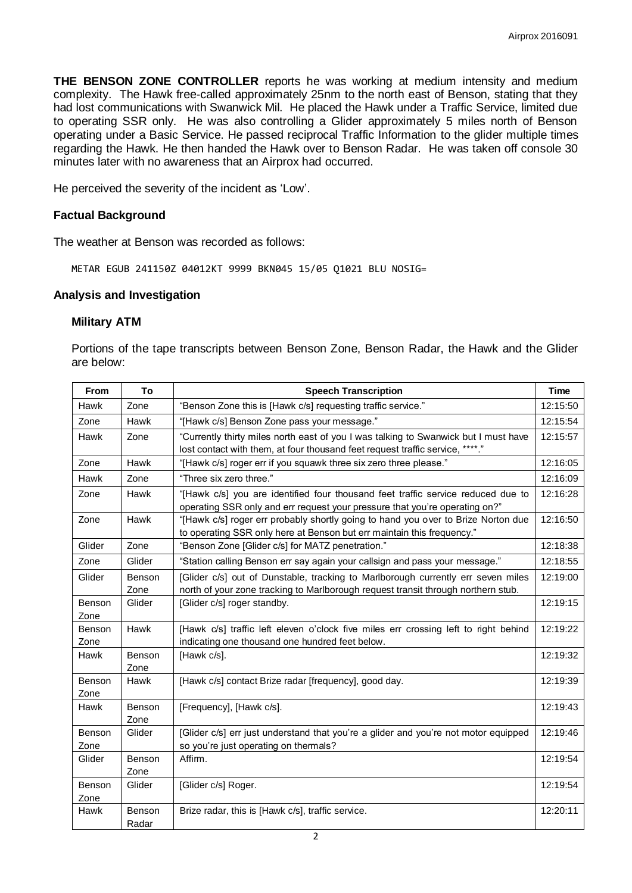**THE BENSON ZONE CONTROLLER** reports he was working at medium intensity and medium complexity. The Hawk free-called approximately 25nm to the north east of Benson, stating that they had lost communications with Swanwick Mil. He placed the Hawk under a Traffic Service, limited due to operating SSR only. He was also controlling a Glider approximately 5 miles north of Benson operating under a Basic Service. He passed reciprocal Traffic Information to the glider multiple times regarding the Hawk. He then handed the Hawk over to Benson Radar. He was taken off console 30 minutes later with no awareness that an Airprox had occurred.

He perceived the severity of the incident as 'Low'.

#### **Factual Background**

The weather at Benson was recorded as follows:

METAR EGUB 241150Z 04012KT 9999 BKN045 15/05 Q1021 BLU NOSIG=

#### **Analysis and Investigation**

#### **Military ATM**

Portions of the tape transcripts between Benson Zone, Benson Radar, the Hawk and the Glider are below:

| <b>From</b>    | To              | <b>Speech Transcription</b>                                                                                                                                           | <b>Time</b> |
|----------------|-----------------|-----------------------------------------------------------------------------------------------------------------------------------------------------------------------|-------------|
| Hawk           | Zone            | "Benson Zone this is [Hawk c/s] requesting traffic service."                                                                                                          | 12:15:50    |
| Zone           | Hawk            | "[Hawk c/s] Benson Zone pass your message."                                                                                                                           | 12:15:54    |
| Hawk           | Zone            | "Currently thirty miles north east of you I was talking to Swanwick but I must have<br>lost contact with them, at four thousand feet request traffic service, ****."  | 12:15:57    |
| Zone           | Hawk            | "[Hawk c/s] roger err if you squawk three six zero three please."                                                                                                     | 12:16:05    |
| Hawk           | Zone            | "Three six zero three."                                                                                                                                               | 12:16:09    |
| Zone           | Hawk            | "[Hawk c/s] you are identified four thousand feet traffic service reduced due to<br>operating SSR only and err request your pressure that you're operating on?"       | 12:16:28    |
| Zone           | Hawk            | "[Hawk c/s] roger err probably shortly going to hand you over to Brize Norton due<br>to operating SSR only here at Benson but err maintain this frequency."           | 12:16:50    |
| Glider         | Zone            | "Benson Zone [Glider c/s] for MATZ penetration."                                                                                                                      | 12:18:38    |
| Zone           | Glider          | "Station calling Benson err say again your callsign and pass your message."                                                                                           | 12:18:55    |
| Glider         | Benson<br>Zone  | [Glider c/s] out of Dunstable, tracking to Marlborough currently err seven miles<br>north of your zone tracking to Marlborough request transit through northern stub. | 12:19:00    |
| Benson<br>Zone | Glider          | [Glider c/s] roger standby.                                                                                                                                           | 12:19:15    |
| Benson<br>Zone | Hawk            | [Hawk c/s] traffic left eleven o'clock five miles err crossing left to right behind<br>indicating one thousand one hundred feet below.                                | 12:19:22    |
| Hawk           | Benson<br>Zone  | [Hawk c/s].                                                                                                                                                           | 12:19:32    |
| Benson<br>Zone | Hawk            | [Hawk c/s] contact Brize radar [frequency], good day.                                                                                                                 | 12:19:39    |
| Hawk           | Benson<br>Zone  | [Frequency], [Hawk c/s].                                                                                                                                              | 12:19:43    |
| Benson<br>Zone | Glider          | [Glider c/s] err just understand that you're a glider and you're not motor equipped<br>so you're just operating on thermals?                                          | 12:19:46    |
| Glider         | Benson<br>Zone  | Affirm.                                                                                                                                                               | 12:19:54    |
| Benson<br>Zone | Glider          | [Glider c/s] Roger.                                                                                                                                                   | 12:19:54    |
| Hawk           | Benson<br>Radar | Brize radar, this is [Hawk c/s], traffic service.                                                                                                                     | 12:20:11    |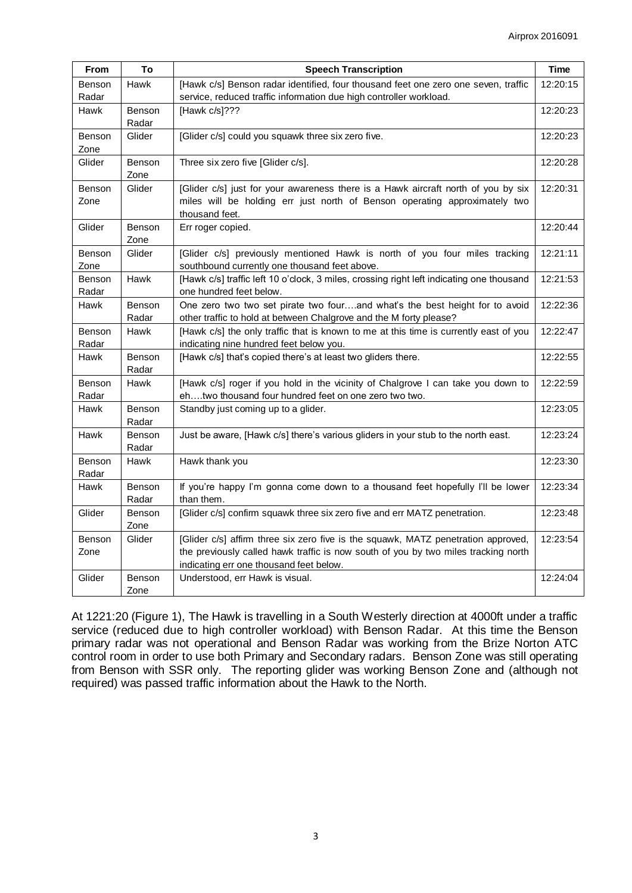| From            | To                     | <b>Speech Transcription</b>                                                                                                                                                                                        | Time     |
|-----------------|------------------------|--------------------------------------------------------------------------------------------------------------------------------------------------------------------------------------------------------------------|----------|
| Benson<br>Radar | Hawk                   | [Hawk c/s] Benson radar identified, four thousand feet one zero one seven, traffic<br>service, reduced traffic information due high controller workload.                                                           | 12:20:15 |
| Hawk            | Benson<br>Radar        | [Hawk $c/s$ ]???                                                                                                                                                                                                   | 12:20:23 |
| Benson<br>Zone  | Glider                 | [Glider c/s] could you squawk three six zero five.                                                                                                                                                                 | 12:20:23 |
| Glider          | Benson<br>Zone         | Three six zero five [Glider c/s].                                                                                                                                                                                  | 12:20:28 |
| Benson<br>Zone  | Glider                 | [Glider c/s] just for your awareness there is a Hawk aircraft north of you by six<br>miles will be holding err just north of Benson operating approximately two<br>thousand feet.                                  | 12:20:31 |
| Glider          | Benson<br>Zone         | Err roger copied.                                                                                                                                                                                                  | 12:20:44 |
| Benson<br>Zone  | Glider                 | [Glider c/s] previously mentioned Hawk is north of you four miles tracking<br>southbound currently one thousand feet above.                                                                                        | 12:21:11 |
| Benson<br>Radar | Hawk                   | [Hawk c/s] traffic left 10 o'clock, 3 miles, crossing right left indicating one thousand<br>one hundred feet below.                                                                                                | 12:21:53 |
| Hawk            | <b>Benson</b><br>Radar | One zero two two set pirate two fourand what's the best height for to avoid<br>other traffic to hold at between Chalgrove and the M forty please?                                                                  | 12:22:36 |
| Benson<br>Radar | Hawk                   | [Hawk c/s] the only traffic that is known to me at this time is currently east of you<br>indicating nine hundred feet below you.                                                                                   | 12:22:47 |
| Hawk            | <b>Benson</b><br>Radar | [Hawk c/s] that's copied there's at least two gliders there.                                                                                                                                                       | 12:22:55 |
| Benson<br>Radar | Hawk                   | [Hawk c/s] roger if you hold in the vicinity of Chalgrove I can take you down to<br>ehtwo thousand four hundred feet on one zero two two.                                                                          | 12:22:59 |
| Hawk            | Benson<br>Radar        | Standby just coming up to a glider.                                                                                                                                                                                | 12:23:05 |
| Hawk            | Benson<br>Radar        | Just be aware, [Hawk c/s] there's various gliders in your stub to the north east.                                                                                                                                  | 12:23:24 |
| Benson<br>Radar | Hawk                   | Hawk thank you                                                                                                                                                                                                     | 12:23:30 |
| Hawk            | Benson<br>Radar        | If you're happy I'm gonna come down to a thousand feet hopefully I'll be lower<br>than them.                                                                                                                       | 12:23:34 |
| Glider          | Benson<br>Zone         | [Glider c/s] confirm squawk three six zero five and err MATZ penetration.                                                                                                                                          | 12:23:48 |
| Benson<br>Zone  | Glider                 | [Glider c/s] affirm three six zero five is the squawk, MATZ penetration approved,<br>the previously called hawk traffic is now south of you by two miles tracking north<br>indicating err one thousand feet below. | 12:23:54 |
| Glider          | Benson<br>Zone         | Understood, err Hawk is visual.                                                                                                                                                                                    | 12:24:04 |

At 1221:20 (Figure 1), The Hawk is travelling in a South Westerly direction at 4000ft under a traffic service (reduced due to high controller workload) with Benson Radar. At this time the Benson primary radar was not operational and Benson Radar was working from the Brize Norton ATC control room in order to use both Primary and Secondary radars. Benson Zone was still operating from Benson with SSR only. The reporting glider was working Benson Zone and (although not required) was passed traffic information about the Hawk to the North.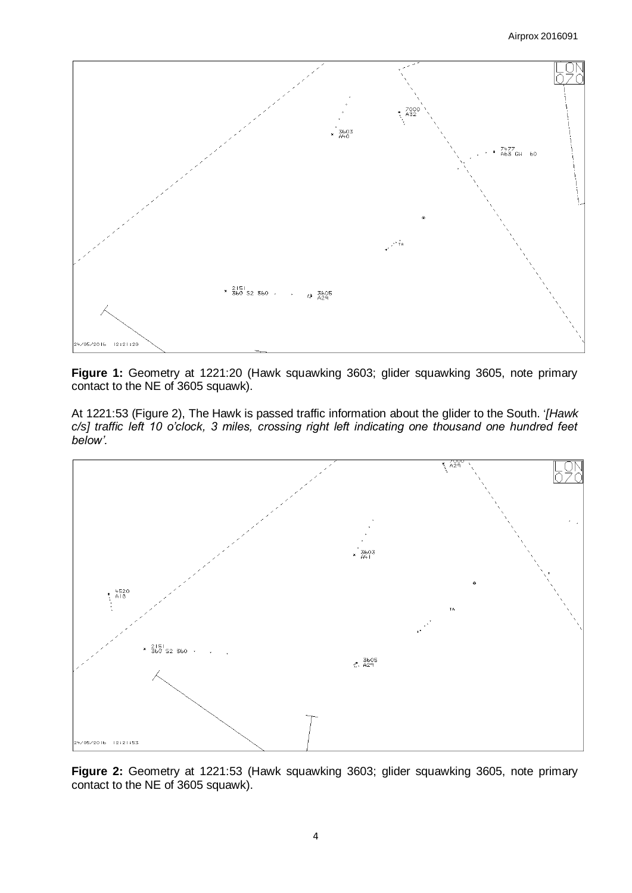#### Airprox 2016091



**Figure 1:** Geometry at 1221:20 (Hawk squawking 3603; glider squawking 3605, note primary contact to the NE of 3605 squawk).

At 1221:53 (Figure 2), The Hawk is passed traffic information about the glider to the South. '*[Hawk c/s] traffic left 10 o'clock, 3 miles, crossing right left indicating one thousand one hundred feet below'.*



**Figure 2:** Geometry at 1221:53 (Hawk squawking 3603; glider squawking 3605, note primary contact to the NE of 3605 squawk).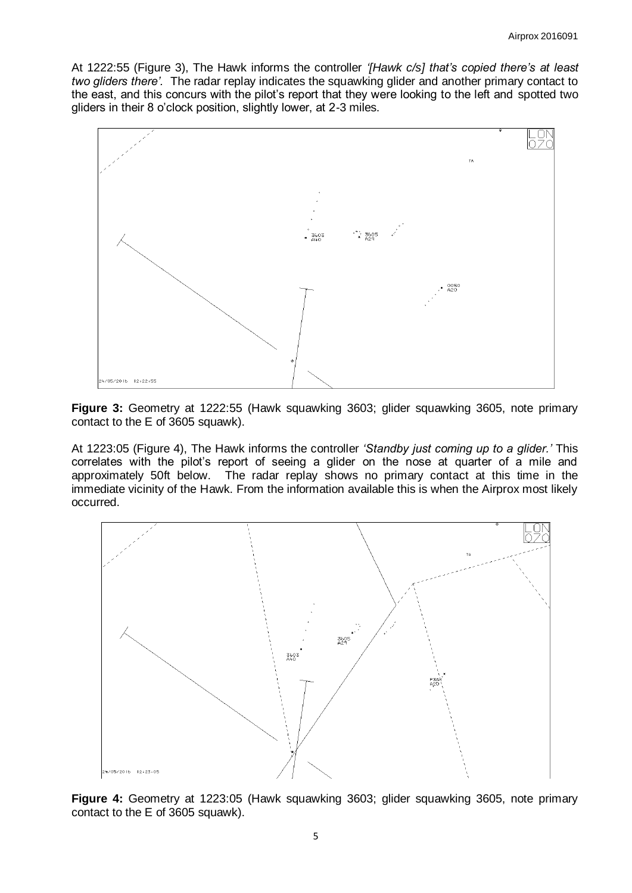At 1222:55 (Figure 3), The Hawk informs the controller *'[Hawk c/s] that's copied there's at least two gliders there'.* The radar replay indicates the squawking glider and another primary contact to the east, and this concurs with the pilot's report that they were looking to the left and spotted two gliders in their 8 o'clock position, slightly lower, at 2-3 miles.



**Figure 3:** Geometry at 1222:55 (Hawk squawking 3603; glider squawking 3605, note primary contact to the E of 3605 squawk).

At 1223:05 (Figure 4), The Hawk informs the controller *'Standby just coming up to a glider.'* This correlates with the pilot's report of seeing a glider on the nose at quarter of a mile and approximately 50ft below. The radar replay shows no primary contact at this time in the immediate vicinity of the Hawk. From the information available this is when the Airprox most likely occurred.



**Figure 4:** Geometry at 1223:05 (Hawk squawking 3603; glider squawking 3605, note primary contact to the E of 3605 squawk).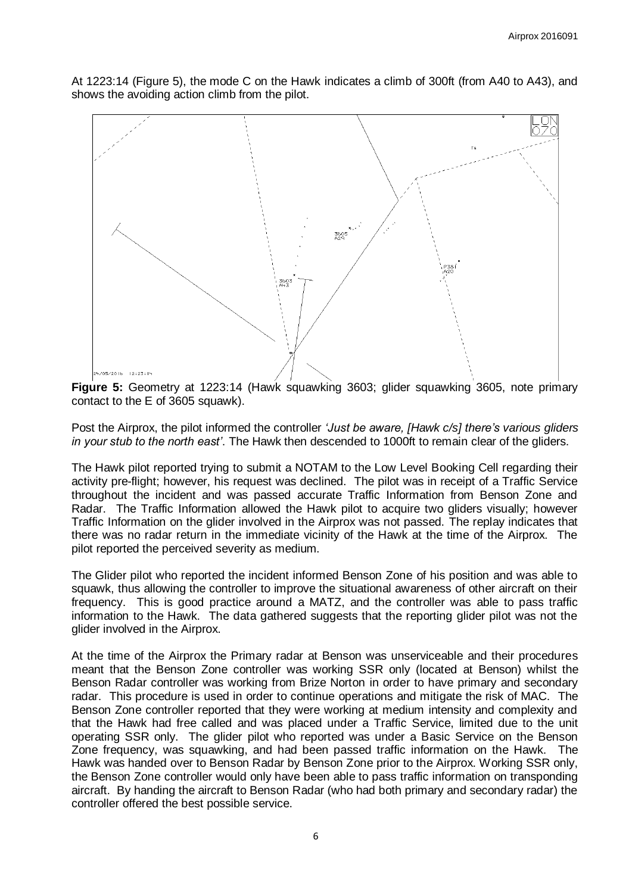At 1223:14 (Figure 5), the mode C on the Hawk indicates a climb of 300ft (from A40 to A43), and shows the avoiding action climb from the pilot.



**Figure 5:** Geometry at 1223:14 (Hawk squawking 3603; glider squawking 3605, note primary contact to the E of 3605 squawk).

Post the Airprox, the pilot informed the controller *'Just be aware, [Hawk c/s] there's various gliders in your stub to the north east'*. The Hawk then descended to 1000ft to remain clear of the gliders.

The Hawk pilot reported trying to submit a NOTAM to the Low Level Booking Cell regarding their activity pre-flight; however, his request was declined. The pilot was in receipt of a Traffic Service throughout the incident and was passed accurate Traffic Information from Benson Zone and Radar. The Traffic Information allowed the Hawk pilot to acquire two gliders visually; however Traffic Information on the glider involved in the Airprox was not passed. The replay indicates that there was no radar return in the immediate vicinity of the Hawk at the time of the Airprox. The pilot reported the perceived severity as medium.

The Glider pilot who reported the incident informed Benson Zone of his position and was able to squawk, thus allowing the controller to improve the situational awareness of other aircraft on their frequency. This is good practice around a MATZ, and the controller was able to pass traffic information to the Hawk. The data gathered suggests that the reporting glider pilot was not the glider involved in the Airprox.

At the time of the Airprox the Primary radar at Benson was unserviceable and their procedures meant that the Benson Zone controller was working SSR only (located at Benson) whilst the Benson Radar controller was working from Brize Norton in order to have primary and secondary radar. This procedure is used in order to continue operations and mitigate the risk of MAC. The Benson Zone controller reported that they were working at medium intensity and complexity and that the Hawk had free called and was placed under a Traffic Service, limited due to the unit operating SSR only. The glider pilot who reported was under a Basic Service on the Benson Zone frequency, was squawking, and had been passed traffic information on the Hawk. The Hawk was handed over to Benson Radar by Benson Zone prior to the Airprox. Working SSR only, the Benson Zone controller would only have been able to pass traffic information on transponding aircraft. By handing the aircraft to Benson Radar (who had both primary and secondary radar) the controller offered the best possible service.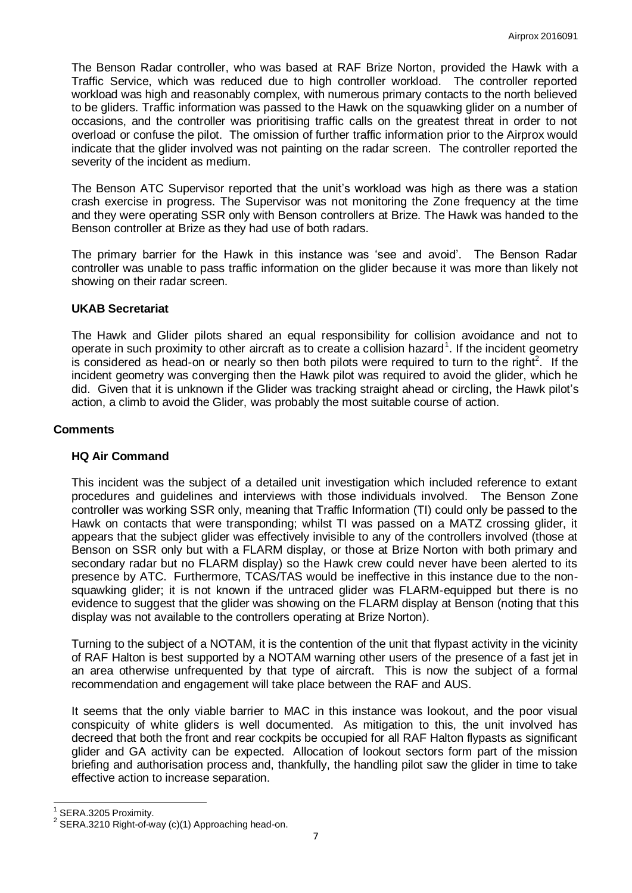The Benson Radar controller, who was based at RAF Brize Norton, provided the Hawk with a Traffic Service, which was reduced due to high controller workload. The controller reported workload was high and reasonably complex, with numerous primary contacts to the north believed to be gliders. Traffic information was passed to the Hawk on the squawking glider on a number of occasions, and the controller was prioritising traffic calls on the greatest threat in order to not overload or confuse the pilot. The omission of further traffic information prior to the Airprox would indicate that the glider involved was not painting on the radar screen. The controller reported the severity of the incident as medium.

The Benson ATC Supervisor reported that the unit's workload was high as there was a station crash exercise in progress. The Supervisor was not monitoring the Zone frequency at the time and they were operating SSR only with Benson controllers at Brize. The Hawk was handed to the Benson controller at Brize as they had use of both radars.

The primary barrier for the Hawk in this instance was 'see and avoid'. The Benson Radar controller was unable to pass traffic information on the glider because it was more than likely not showing on their radar screen.

## **UKAB Secretariat**

The Hawk and Glider pilots shared an equal responsibility for collision avoidance and not to operate in such proximity to other aircraft as to create a collision hazard<sup>1</sup>. If the incident geometry is considered as head-on or nearly so then both pilots were required to turn to the right<sup>2</sup>. If the incident geometry was converging then the Hawk pilot was required to avoid the glider, which he did. Given that it is unknown if the Glider was tracking straight ahead or circling, the Hawk pilot's action, a climb to avoid the Glider, was probably the most suitable course of action.

## **Comments**

## **HQ Air Command**

This incident was the subject of a detailed unit investigation which included reference to extant procedures and guidelines and interviews with those individuals involved. The Benson Zone controller was working SSR only, meaning that Traffic Information (TI) could only be passed to the Hawk on contacts that were transponding; whilst TI was passed on a MATZ crossing glider, it appears that the subject glider was effectively invisible to any of the controllers involved (those at Benson on SSR only but with a FLARM display, or those at Brize Norton with both primary and secondary radar but no FLARM display) so the Hawk crew could never have been alerted to its presence by ATC. Furthermore, TCAS/TAS would be ineffective in this instance due to the nonsquawking glider; it is not known if the untraced glider was FLARM-equipped but there is no evidence to suggest that the glider was showing on the FLARM display at Benson (noting that this display was not available to the controllers operating at Brize Norton).

Turning to the subject of a NOTAM, it is the contention of the unit that flypast activity in the vicinity of RAF Halton is best supported by a NOTAM warning other users of the presence of a fast jet in an area otherwise unfrequented by that type of aircraft. This is now the subject of a formal recommendation and engagement will take place between the RAF and AUS.

It seems that the only viable barrier to MAC in this instance was lookout, and the poor visual conspicuity of white gliders is well documented. As mitigation to this, the unit involved has decreed that both the front and rear cockpits be occupied for all RAF Halton flypasts as significant glider and GA activity can be expected. Allocation of lookout sectors form part of the mission briefing and authorisation process and, thankfully, the handling pilot saw the glider in time to take effective action to increase separation.

 $\overline{\phantom{a}}$  $1$  SERA.3205 Proximity.

 $2$  SERA.3210 Right-of-way (c)(1) Approaching head-on.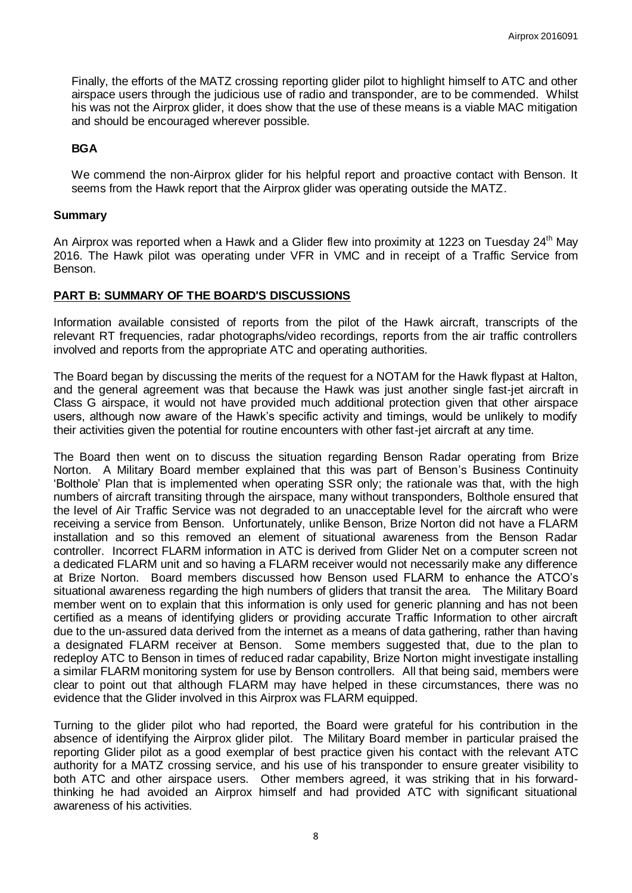Finally, the efforts of the MATZ crossing reporting glider pilot to highlight himself to ATC and other airspace users through the judicious use of radio and transponder, are to be commended. Whilst his was not the Airprox glider, it does show that the use of these means is a viable MAC mitigation and should be encouraged wherever possible.

## **BGA**

We commend the non-Airprox glider for his helpful report and proactive contact with Benson. It seems from the Hawk report that the Airprox glider was operating outside the MATZ.

#### **Summary**

An Airprox was reported when a Hawk and a Glider flew into proximity at 1223 on Tuesday 24<sup>th</sup> May 2016. The Hawk pilot was operating under VFR in VMC and in receipt of a Traffic Service from Benson.

## **PART B: SUMMARY OF THE BOARD'S DISCUSSIONS**

Information available consisted of reports from the pilot of the Hawk aircraft, transcripts of the relevant RT frequencies, radar photographs/video recordings, reports from the air traffic controllers involved and reports from the appropriate ATC and operating authorities.

The Board began by discussing the merits of the request for a NOTAM for the Hawk flypast at Halton, and the general agreement was that because the Hawk was just another single fast-jet aircraft in Class G airspace, it would not have provided much additional protection given that other airspace users, although now aware of the Hawk's specific activity and timings, would be unlikely to modify their activities given the potential for routine encounters with other fast-jet aircraft at any time.

The Board then went on to discuss the situation regarding Benson Radar operating from Brize Norton. A Military Board member explained that this was part of Benson's Business Continuity 'Bolthole' Plan that is implemented when operating SSR only; the rationale was that, with the high numbers of aircraft transiting through the airspace, many without transponders, Bolthole ensured that the level of Air Traffic Service was not degraded to an unacceptable level for the aircraft who were receiving a service from Benson. Unfortunately, unlike Benson, Brize Norton did not have a FLARM installation and so this removed an element of situational awareness from the Benson Radar controller. Incorrect FLARM information in ATC is derived from Glider Net on a computer screen not a dedicated FLARM unit and so having a FLARM receiver would not necessarily make any difference at Brize Norton. Board members discussed how Benson used FLARM to enhance the ATCO's situational awareness regarding the high numbers of gliders that transit the area. The Military Board member went on to explain that this information is only used for generic planning and has not been certified as a means of identifying gliders or providing accurate Traffic Information to other aircraft due to the un-assured data derived from the internet as a means of data gathering, rather than having a designated FLARM receiver at Benson. Some members suggested that, due to the plan to redeploy ATC to Benson in times of reduced radar capability, Brize Norton might investigate installing a similar FLARM monitoring system for use by Benson controllers. All that being said, members were clear to point out that although FLARM may have helped in these circumstances, there was no evidence that the Glider involved in this Airprox was FLARM equipped.

Turning to the glider pilot who had reported, the Board were grateful for his contribution in the absence of identifying the Airprox glider pilot. The Military Board member in particular praised the reporting Glider pilot as a good exemplar of best practice given his contact with the relevant ATC authority for a MATZ crossing service, and his use of his transponder to ensure greater visibility to both ATC and other airspace users. Other members agreed, it was striking that in his forwardthinking he had avoided an Airprox himself and had provided ATC with significant situational awareness of his activities.